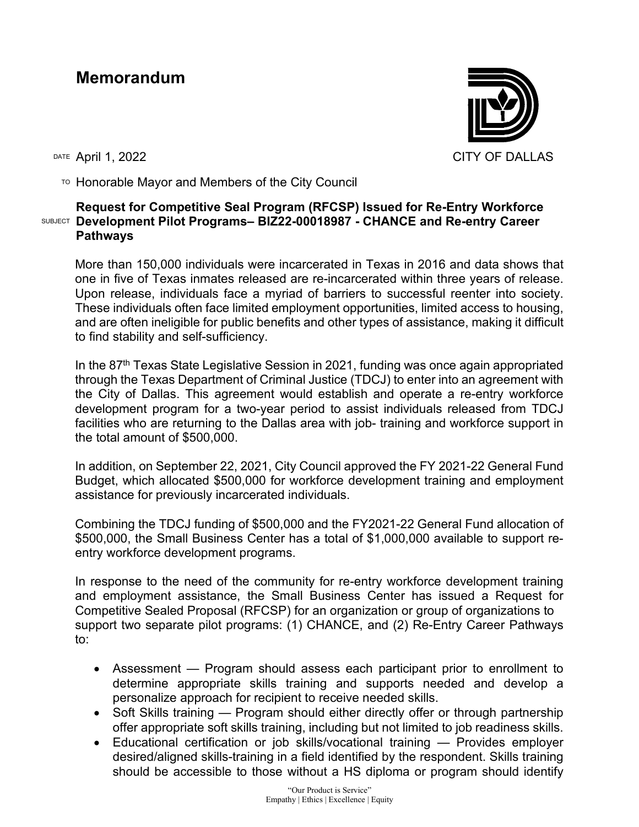## **Memorandum**



 $T$ <sup>O</sup> Honorable Mayor and Members of the City Council

## SUBJECT **Development Pilot Programs– BIZ22-00018987 - CHANCE and Re-entry Career Request for Competitive Seal Program (RFCSP) Issued for Re-Entry Workforce Pathways**

More than 150,000 individuals were incarcerated in Texas in 2016 and data shows that one in five of Texas inmates released are re-incarcerated within three years of release. Upon release, individuals face a myriad of barriers to successful reenter into society. These individuals often face limited employment opportunities, limited access to housing, and are often ineligible for public benefits and other types of assistance, making it difficult to find stability and self-sufficiency.

In the 87<sup>th</sup> Texas State Legislative Session in 2021, funding was once again appropriated through the Texas Department of Criminal Justice (TDCJ) to enter into an agreement with the City of Dallas. This agreement would establish and operate a re-entry workforce development program for a two-year period to assist individuals released from TDCJ facilities who are returning to the Dallas area with job- training and workforce support in the total amount of \$500,000.

In addition, on September 22, 2021, City Council approved the FY 2021-22 General Fund Budget, which allocated \$500,000 for workforce development training and employment assistance for previously incarcerated individuals.

Combining the TDCJ funding of \$500,000 and the FY2021-22 General Fund allocation of \$500,000, the Small Business Center has a total of \$1,000,000 available to support reentry workforce development programs.

In response to the need of the community for re-entry workforce development training and employment assistance, the Small Business Center has issued a Request for Competitive Sealed Proposal (RFCSP) for an organization or group of organizations to support two separate pilot programs: (1) CHANCE, and (2) Re-Entry Career Pathways to:

- Assessment Program should assess each participant prior to enrollment to determine appropriate skills training and supports needed and develop a personalize approach for recipient to receive needed skills.
- Soft Skills training Program should either directly offer or through partnership offer appropriate soft skills training, including but not limited to job readiness skills.
- Educational certification or job skills/vocational training Provides employer desired/aligned skills-training in a field identified by the respondent. Skills training should be accessible to those without a HS diploma or program should identify